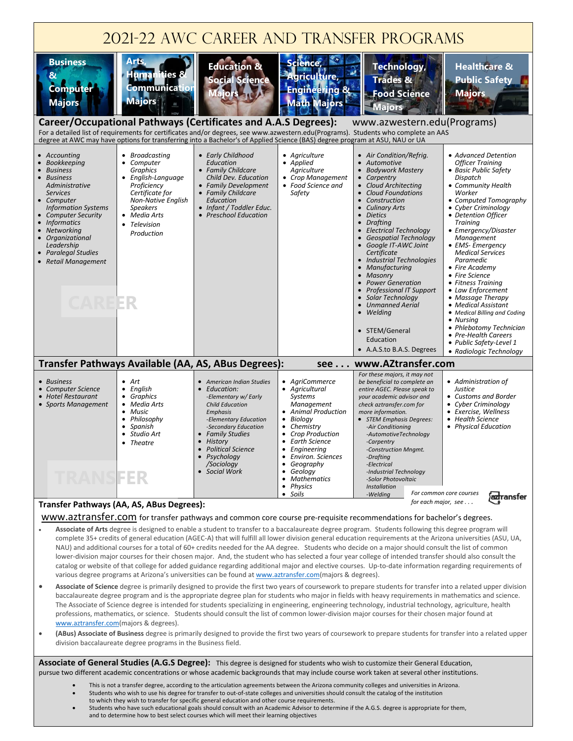

www.aztransfer.com for transfer pathways and common core course pre-requisite recommendations for bachelor's degrees.

- **Associate of Arts** degree is designed to enable a student to transfer to a baccalaureate degree program. Students following this degree program will complete 35+ credits of general education (AGEC-A) that will fulfill all lower division general education requirements at the Arizona universities (ASU, UA, NAU) and additional courses for a total of 60+ credits needed for the AA degree. Students who decide on a major should consult the list of common lower-division major courses for their chosen major. And, the student who has selected a four year college of intended transfer should also consult the catalog or website of that college for added guidance regarding additional major and elective courses. Up-to-date information regarding requirements of various degree programs at Arizona's universities can be found at [www.aztransfer.com\(](http://www.aztransfer.com/)majors & degrees).
- **Associate of Science** degree is primarily designed to provide the first two years of coursework to prepare students for transfer into a related upper division baccalaureate degree program and is the appropriate degree plan for students who major in fields with heavy requirements in mathematics and science. The Associate of Science degree is intended for students specializing in engineering, engineering technology, industrial technology, agriculture, health professions, mathematics, or science. Students should consult the list of common lower-division major courses for their chosen major found at [www.aztransfer.com\(m](http://www.aztransfer.com/)ajors & degrees).
- **(ABus) Associate of Business** degree is primarily designed to provide the first two years of coursework to prepare students for transfer into a related upper division baccalaureate degree programs in the Business field.

**Associate of General Studies (A.G.S Degree):** This degree is designed for students who wish to customize their General Education, pursue two different academic concentrations or whose academic backgrounds that may include course work taken at several other institutions.

- This is not a transfer degree, according to the articulation agreements between the Arizona community colleges and universities in Arizona.
- Students who wish to use his degree for transfer to out-of-state colleges and universities should consult the catalog of the institution
- to which they wish to transfer for specific general education and other course requirements.
- Students who have such educational goals should consult with an Academic Advisor to determine if the A.G.S. degree is appropriate for them, and to determine how to best select courses which will meet their learning objectives